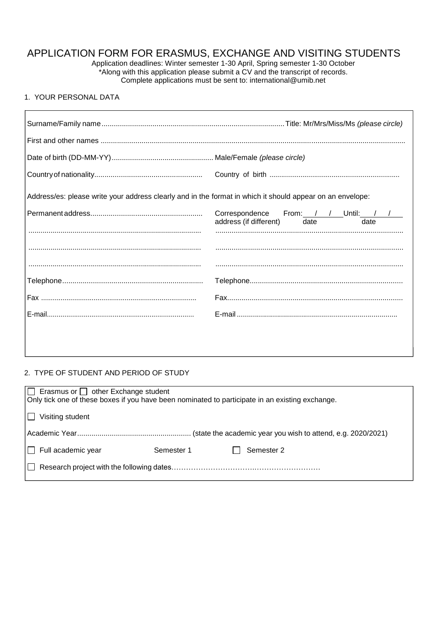# APPLICATION FORM FOR ERASMUS, EXCHANGE AND VISITING STUDENTS

Application deadlines: Winter semester 1-30 April, Spring semester 1-30 October \*Along with this application please submit a CV and the transcript of records. Complete applications must be sent to: international@umib.net

## 1. YOUR PERSONAL DATA

| Address/es: please write your address clearly and in the format in which it should appear on an envelope: |                                                                            |  |  |  |
|-----------------------------------------------------------------------------------------------------------|----------------------------------------------------------------------------|--|--|--|
|                                                                                                           | Correspondence From: / / Until: / /<br>address (if different) date<br>date |  |  |  |
|                                                                                                           |                                                                            |  |  |  |
|                                                                                                           |                                                                            |  |  |  |
|                                                                                                           |                                                                            |  |  |  |
|                                                                                                           |                                                                            |  |  |  |
|                                                                                                           |                                                                            |  |  |  |
|                                                                                                           |                                                                            |  |  |  |
|                                                                                                           |                                                                            |  |  |  |
|                                                                                                           |                                                                            |  |  |  |

### 2. TYPE OF STUDENT AND PERIOD OF STUDY

| $\Box$ Erasmus or $\Box$ other Exchange student<br>Only tick one of these boxes if you have been nominated to participate in an existing exchange. |            |            |  |  |  |
|----------------------------------------------------------------------------------------------------------------------------------------------------|------------|------------|--|--|--|
| $\Box$ Visiting student                                                                                                                            |            |            |  |  |  |
|                                                                                                                                                    |            |            |  |  |  |
| $\Box$ Full academic year                                                                                                                          | Semester 1 | Semester 2 |  |  |  |
|                                                                                                                                                    |            |            |  |  |  |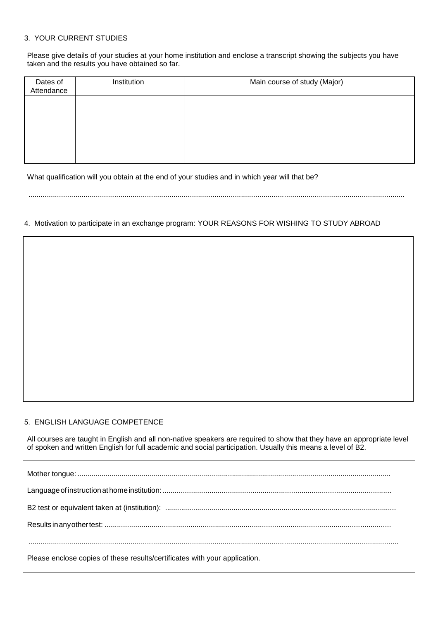# 3. YOUR CURRENT STUDIES

Please give details of your studies at your home institution and enclose a transcript showing the subjects you have taken and the results you have obtained so far.

| Dates of<br>Attendance | Institution | Main course of study (Major) |
|------------------------|-------------|------------------------------|
|                        |             |                              |
|                        |             |                              |
|                        |             |                              |
|                        |             |                              |

What qualification will you obtain at the end of your studies and in which year will that be?

........................................................................................................................................................................................

4. Motivation to participate in an exchange program: YOUR REASONS FOR WISHING TO STUDY ABROAD

## 5. ENGLISH LANGUAGE COMPETENCE

All courses are taught in English and all non-native speakers are required to show that they have an appropriate level of spoken and written English for full academic and social participation. Usually this means a level of B2.

| Please enclose copies of these results/certificates with your application. |
|----------------------------------------------------------------------------|